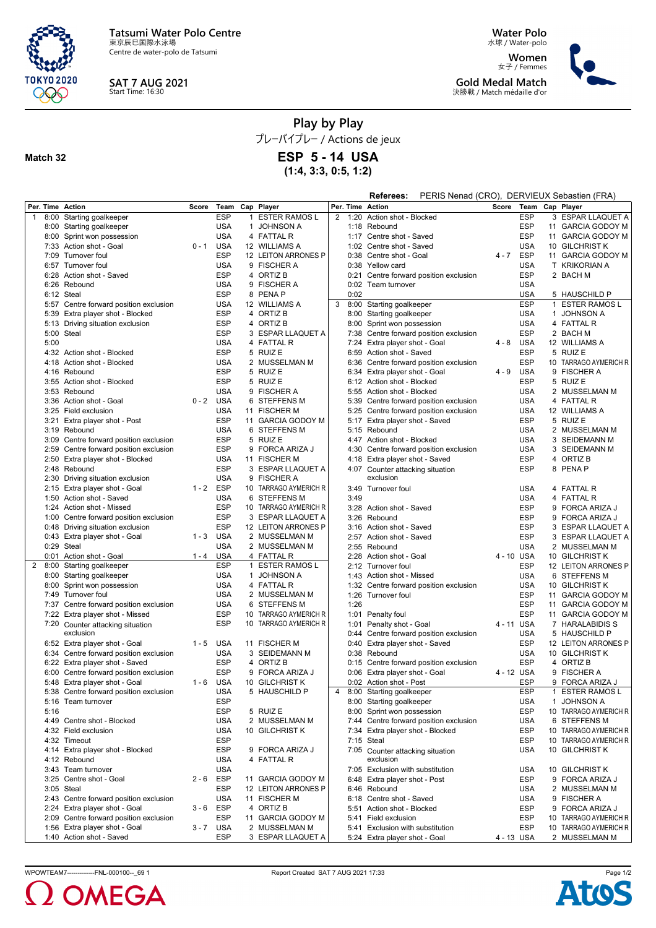

Centre de water-polo de Tatsumi



**Match 32**

# **SAT 7 AUG 2021** Start Time: 16:30

**Water Polo** 水球 / Water-polo

**Women** 女子 / Femmes **Gold Medal Match** 決勝戦 / Match médaille d'or



**Play by Play**

プレーバイプレー / Actions de jeux

**ESP 5 - 14 USA**

**(1:4, 3:3, 0:5, 1:2)**

|                  |                                        |         |             |              |                       |   |      | Referees:                                | PERIS Nenad (CRO), DERVIEUX Sebastien (FRA) |                       |            |                       |
|------------------|----------------------------------------|---------|-------------|--------------|-----------------------|---|------|------------------------------------------|---------------------------------------------|-----------------------|------------|-----------------------|
| Per. Time Action |                                        | Score   | Team        |              | Cap Player            |   |      | Per. Time Action                         |                                             | Score Team Cap Player |            |                       |
| $\overline{1}$   | 8:00 Starting goalkeeper               |         | <b>ESP</b>  | $\mathbf{1}$ | <b>ESTER RAMOS L</b>  | 2 | 1:20 | Action shot - Blocked                    |                                             |                       | <b>ESP</b> | 3 ESPAR LLAQUET A     |
|                  | 8:00 Starting goalkeeper               |         | <b>USA</b>  |              | 1 JOHNSON A           |   |      | 1:18 Rebound                             |                                             |                       | <b>ESP</b> | 11 GARCIA GODOY M     |
|                  | 8:00 Sprint won possession             |         | <b>USA</b>  |              | 4 FATTAL R            |   |      | 1:17 Centre shot - Saved                 |                                             |                       | <b>ESP</b> | 11 GARCIA GODOY M     |
|                  | 7:33 Action shot - Goal                | $0 - 1$ | <b>USA</b>  |              | 12 WILLIAMS A         |   |      | 1:02 Centre shot - Saved                 |                                             |                       | <b>USA</b> | 10 GILCHRIST K        |
|                  | 7:09 Turnover foul                     |         | <b>ESP</b>  |              | 12 LEITON ARRONES P   |   |      | 0:38 Centre shot - Goal                  |                                             | $4 - 7$               | ESP        | 11 GARCIA GODOY M     |
|                  | 6:57 Turnover foul                     |         | USA         |              | 9 FISCHER A           |   |      | 0:38 Yellow card                         |                                             |                       | <b>USA</b> | T KRIKORIAN A         |
|                  | 6:28 Action shot - Saved               |         | <b>ESP</b>  |              | 4 ORTIZ B             |   |      |                                          | 0:21 Centre forward position exclusion      |                       | <b>ESP</b> | 2 BACH M              |
|                  | 6:26 Rebound                           |         | <b>USA</b>  |              | 9 FISCHER A           |   |      | 0:02 Team turnover                       |                                             |                       | <b>USA</b> |                       |
|                  | 6:12 Steal                             |         | <b>ESP</b>  |              | 8 PENA P              |   | 0:02 |                                          |                                             |                       | <b>USA</b> | 5 HAUSCHILD P         |
|                  | 5:57 Centre forward position exclusion |         | <b>USA</b>  |              | 12 WILLIAMS A         | 3 |      | 8:00 Starting goalkeeper                 |                                             |                       | <b>ESP</b> | 1 ESTER RAMOS L       |
|                  | 5:39 Extra player shot - Blocked       |         | ESP         |              | 4 ORTIZ B             |   |      | 8:00 Starting goalkeeper                 |                                             |                       | <b>USA</b> | 1 JOHNSON A           |
|                  | 5:13 Driving situation exclusion       |         | <b>ESP</b>  |              | 4 ORTIZ B             |   |      | 8:00 Sprint won possession               |                                             |                       | <b>USA</b> | 4 FATTAL R            |
| 5:00             | Steal                                  |         | ESP         |              | 3 ESPAR LLAQUET A     |   |      |                                          | 7:38 Centre forward position exclusion      |                       | <b>ESP</b> | 2 BACH M              |
| 5:00             |                                        |         | <b>USA</b>  |              | 4 FATTAL R            |   |      | 7:24 Extra player shot - Goal            |                                             | 4 - 8                 | USA        | 12 WILLIAMS A         |
|                  | 4:32 Action shot - Blocked             |         | ESP         |              | 5 RUIZ E              |   |      | 6:59 Action shot - Saved                 |                                             |                       | <b>ESP</b> | 5 RUIZ E              |
|                  | 4:18 Action shot - Blocked             |         | <b>USA</b>  |              | 2 MUSSELMAN M         |   |      |                                          | 6:36 Centre forward position exclusion      |                       | <b>ESP</b> | 10 TARRAGO AYMERICH R |
|                  | 4:16 Rebound                           |         | <b>ESP</b>  |              | 5 RUIZ E              |   |      | 6:34 Extra player shot - Goal            |                                             | $4 - 9$               | <b>USA</b> | 9 FISCHER A           |
|                  | 3:55 Action shot - Blocked             |         | <b>ESP</b>  |              | 5 RUIZ E              |   |      | 6:12 Action shot - Blocked               |                                             |                       | <b>ESP</b> | 5 RUIZ E              |
|                  | 3:53 Rebound                           |         | <b>USA</b>  |              | 9 FISCHER A           |   |      | 5:55 Action shot - Blocked               |                                             |                       | <b>USA</b> | 2 MUSSELMAN M         |
|                  | 3:36 Action shot - Goal                |         | $0 - 2$ USA |              | 6 STEFFENS M          |   |      |                                          | 5:39 Centre forward position exclusion      |                       | USA        | 4 FATTAL R            |
|                  | 3:25 Field exclusion                   |         | <b>USA</b>  |              | 11 FISCHER M          |   |      |                                          | 5:25 Centre forward position exclusion      |                       | <b>USA</b> | 12 WILLIAMS A         |
|                  | 3:21 Extra player shot - Post          |         | <b>ESP</b>  |              | 11 GARCIA GODOY M     |   |      | 5:17 Extra player shot - Saved           |                                             |                       | <b>ESP</b> | 5 RUIZ E              |
|                  | 3:19 Rebound                           |         | <b>USA</b>  |              | 6 STEFFENS M          |   |      | 5:15 Rebound                             |                                             |                       | <b>USA</b> | 2 MUSSELMAN M         |
|                  | 3:09 Centre forward position exclusion |         | ESP         |              | 5 RUIZ E              |   | 4:47 | Action shot - Blocked                    |                                             |                       | <b>USA</b> | 3 SEIDEMANN M         |
|                  | 2:59 Centre forward position exclusion |         | ESP         |              | 9 FORCA ARIZA J       |   |      |                                          | 4:30 Centre forward position exclusion      |                       | <b>USA</b> | 3 SEIDEMANN M         |
|                  | 2:50 Extra player shot - Blocked       |         | <b>USA</b>  |              | 11 FISCHER M          |   |      | 4:18 Extra player shot - Saved           |                                             |                       | <b>ESP</b> | 4 ORTIZ B             |
|                  | 2:48 Rebound                           |         | <b>ESP</b>  |              | 3 ESPAR LLAQUET A     |   | 4:07 |                                          |                                             |                       | ESP        | 8 PENA P              |
|                  | 2:30 Driving situation exclusion       |         | <b>USA</b>  |              | 9 FISCHER A           |   |      | Counter attacking situation<br>exclusion |                                             |                       |            |                       |
|                  | 2:15 Extra player shot - Goal          | $1 - 2$ | <b>ESP</b>  |              |                       |   |      |                                          |                                             |                       |            |                       |
|                  |                                        |         |             |              | 10 TARRAGO AYMERICH R |   |      | 3:49 Turnover foul                       |                                             |                       | USA        | 4 FATTAL R            |
|                  | 1:50 Action shot - Saved               |         | <b>USA</b>  |              | 6 STEFFENS M          |   | 3:49 |                                          |                                             |                       | <b>USA</b> | 4 FATTAL R            |
|                  | 1:24 Action shot - Missed              |         | <b>ESP</b>  |              | 10 TARRAGO AYMERICH R |   |      | 3:28 Action shot - Saved                 |                                             |                       | <b>ESP</b> | 9 FORCA ARIZA J       |
|                  | 1:00 Centre forward position exclusion |         | ESP         |              | 3 ESPAR LLAQUET A     |   |      | 3:26 Rebound                             |                                             |                       | <b>ESP</b> | 9 FORCA ARIZA J       |
|                  | 0:48 Driving situation exclusion       |         | ESP         |              | 12 LEITON ARRONES P   |   |      | 3:16 Action shot - Saved                 |                                             |                       | <b>ESP</b> | 3 ESPAR LLAQUET A     |
|                  | 0:43 Extra player shot - Goal          | $1 - 3$ | <b>USA</b>  |              | 2 MUSSELMAN M         |   |      | 2:57 Action shot - Saved                 |                                             |                       | <b>ESP</b> | 3 ESPAR LLAQUET A     |
|                  | 0:29 Steal                             |         | USA         |              | 2 MUSSELMAN M         |   |      | 2:55 Rebound                             |                                             |                       | <b>USA</b> | 2 MUSSELMAN M         |
|                  | 0:01 Action shot - Goal                | $1 - 4$ | <b>USA</b>  |              | 4 FATTAL R            |   |      | 2:28 Action shot - Goal                  |                                             | 4 - 10 USA            |            | 10 GILCHRIST K        |
| $\overline{2}$   | 8:00 Starting goalkeeper               |         | <b>ESP</b>  |              | 1 ESTER RAMOS L       |   |      | 2:12 Turnover foul                       |                                             |                       | <b>ESP</b> | 12 LEITON ARRONES P   |
|                  | 8:00 Starting goalkeeper               |         | <b>USA</b>  |              | 1 JOHNSON A           |   | 1:43 | Action shot - Missed                     |                                             |                       | <b>USA</b> | 6 STEFFENS M          |
|                  | 8:00 Sprint won possession             |         | <b>USA</b>  |              | 4 FATTAL R            |   | 1:32 |                                          | Centre forward position exclusion           |                       | <b>USA</b> | 10 GILCHRIST K        |
|                  | 7:49 Turnover foul                     |         | <b>USA</b>  |              | 2 MUSSELMAN M         |   |      | 1:26 Turnover foul                       |                                             |                       | <b>ESP</b> | 11 GARCIA GODOY M     |
|                  | 7:37 Centre forward position exclusion |         | <b>USA</b>  |              | 6 STEFFENS M          |   | 1:26 |                                          |                                             |                       | <b>ESP</b> | 11 GARCIA GODOY M     |
|                  | 7:22 Extra player shot - Missed        |         | <b>ESP</b>  |              | 10 TARRAGO AYMERICH R |   |      | 1:01 Penalty foul                        |                                             |                       | <b>ESP</b> | 11 GARCIA GODOY M     |
|                  | 7:20 Counter attacking situation       |         | <b>ESP</b>  |              | 10 TARRAGO AYMERICH R |   | 1:01 | Penalty shot - Goal                      |                                             | 4 - 11 USA            |            | 7 HARALABIDIS S       |
|                  | exclusion                              |         |             |              |                       |   |      |                                          | 0:44 Centre forward position exclusion      |                       | USA        | 5 HAUSCHILD P         |
|                  | 6:52 Extra player shot - Goal          | $1 - 5$ | <b>USA</b>  |              | 11 FISCHER M          |   | 0:40 | Extra player shot - Saved                |                                             |                       | <b>ESP</b> | 12 LEITON ARRONES P   |
|                  | 6:34 Centre forward position exclusion |         | <b>USA</b>  |              | 3 SEIDEMANN M         |   |      | 0:38 Rebound                             |                                             |                       | <b>USA</b> | 10 GILCHRIST K        |
|                  | 6:22 Extra player shot - Saved         |         | <b>ESP</b>  |              | 4 ORTIZ B             |   |      |                                          | 0:15 Centre forward position exclusion      |                       | <b>ESP</b> | 4 ORTIZ B             |
|                  | 6:00 Centre forward position exclusion |         | <b>ESP</b>  |              | 9 FORCA ARIZA J       |   |      | 0:06 Extra player shot - Goal            |                                             | 4 - 12 USA            |            | 9 FISCHER A           |
|                  | 5:48 Extra player shot - Goal          | 1 - 6   | <b>USA</b>  |              | 10 GILCHRIST K        |   |      | 0:02 Action shot - Post                  |                                             |                       | <b>ESP</b> | 9 FORCA ARIZA J       |
|                  | 5:38 Centre forward position exclusion |         | <b>USA</b>  |              | 5 HAUSCHILD P         | 4 |      | 8:00 Starting goalkeeper                 |                                             |                       | <b>ESP</b> | 1 ESTER RAMOS L       |
|                  | 5:16 Team turnover                     |         | <b>ESP</b>  |              |                       |   |      | 8:00 Starting goalkeeper                 |                                             |                       | <b>USA</b> | 1 JOHNSON A           |
| 5:16             |                                        |         | ESP         |              | 5 RUIZ E              |   |      | 8:00 Sprint won possession               |                                             |                       | <b>ESP</b> | 10 TARRAGO AYMERICH R |
|                  | 4:49 Centre shot - Blocked             |         | <b>USA</b>  |              | 2 MUSSELMAN M         |   |      |                                          | 7:44 Centre forward position exclusion      |                       | <b>USA</b> | 6 STEFFENS M          |
|                  | 4:32 Field exclusion                   |         | <b>USA</b>  |              | 10 GILCHRIST K        |   |      | 7:34 Extra player shot - Blocked         |                                             |                       | <b>ESP</b> | 10 TARRAGO AYMERICH R |
|                  | 4:32 Timeout                           |         | ESP         |              |                       |   |      | $7:15$ Steal                             |                                             |                       | <b>ESP</b> | 10 TARRAGO AYMERICH R |
|                  | 4:14 Extra player shot - Blocked       |         | ESP         |              | 9 FORCA ARIZA J       |   |      | 7:05 Counter attacking situation         |                                             |                       | <b>USA</b> | 10 GILCHRIST K        |
|                  | 4:12 Rebound                           |         | <b>USA</b>  |              | 4 FATTAL R            |   |      | exclusion                                |                                             |                       |            |                       |
|                  | 3:43 Team turnover                     |         | <b>USA</b>  |              |                       |   |      | 7:05 Exclusion with substitution         |                                             |                       | <b>USA</b> | 10 GILCHRIST K        |
|                  | 3:25 Centre shot - Goal                | 2 - 6   | ESP         |              | 11 GARCIA GODOY M     |   |      | 6:48 Extra player shot - Post            |                                             |                       | ESP        | 9 FORCA ARIZA J       |
|                  | 3:05 Steal                             |         | ESP         |              | 12 LEITON ARRONES P   |   |      | 6:46 Rebound                             |                                             |                       | <b>USA</b> | 2 MUSSELMAN M         |
|                  | 2:43 Centre forward position exclusion |         | <b>USA</b>  |              | 11 FISCHER M          |   |      | 6:18 Centre shot - Saved                 |                                             |                       | <b>USA</b> | 9 FISCHER A           |
|                  | 2:24 Extra player shot - Goal          | 3 - 6   | <b>ESP</b>  |              | 4 ORTIZ B             |   |      | 5:51 Action shot - Blocked               |                                             |                       | <b>ESP</b> | 9 FORCA ARIZA J       |
|                  | 2:09 Centre forward position exclusion |         | ESP         |              | 11 GARCIA GODOY M     |   |      | 5:41 Field exclusion                     |                                             |                       | <b>ESP</b> | 10 TARRAGO AYMERICH R |
|                  | 1:56 Extra player shot - Goal          | 3 - 7   | USA         |              | 2 MUSSELMAN M         |   |      | 5:41 Exclusion with substitution         |                                             |                       | <b>ESP</b> | 10 TARRAGO AYMERICH R |
|                  | 1:40 Action shot - Saved               |         | ESP         |              | 3 ESPAR LLAQUET A     |   |      |                                          |                                             |                       |            |                       |
|                  |                                        |         |             |              |                       |   |      | 5:24 Extra player shot - Goal            |                                             | 4 - 13 USA            |            | 2 MUSSELMAN M         |